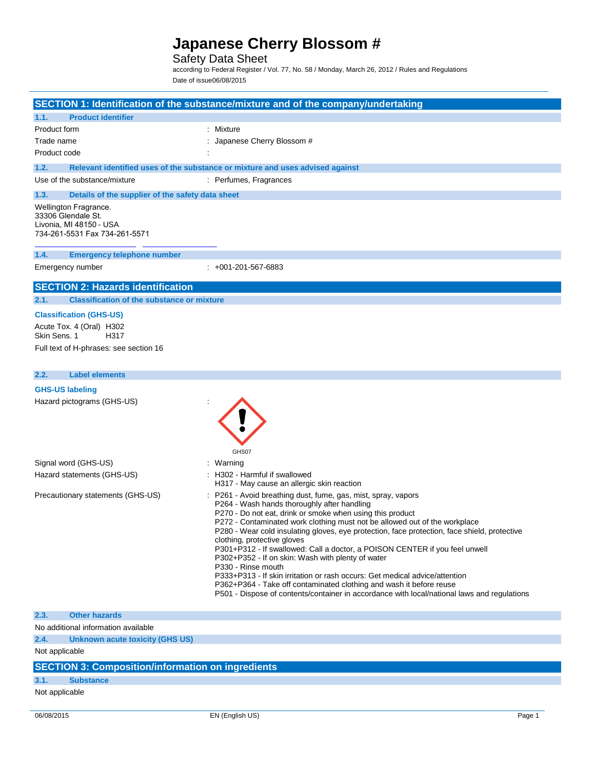### Safety Data Sheet

according to Federal Register / Vol. 77, No. 58 / Monday, March 26, 2012 / Rules and Regulations Date of issue06/08/2015

|                                                                                                                              | SECTION 1: Identification of the substance/mixture and of the company/undertaking                                                                                                                                                                                                                                                                                                                                                                                                                                                                                                                                               |
|------------------------------------------------------------------------------------------------------------------------------|---------------------------------------------------------------------------------------------------------------------------------------------------------------------------------------------------------------------------------------------------------------------------------------------------------------------------------------------------------------------------------------------------------------------------------------------------------------------------------------------------------------------------------------------------------------------------------------------------------------------------------|
| 1.1.<br><b>Product identifier</b>                                                                                            |                                                                                                                                                                                                                                                                                                                                                                                                                                                                                                                                                                                                                                 |
| Product form                                                                                                                 | : Mixture                                                                                                                                                                                                                                                                                                                                                                                                                                                                                                                                                                                                                       |
| Trade name                                                                                                                   | : Japanese Cherry Blossom #                                                                                                                                                                                                                                                                                                                                                                                                                                                                                                                                                                                                     |
| Product code                                                                                                                 |                                                                                                                                                                                                                                                                                                                                                                                                                                                                                                                                                                                                                                 |
| 1.2.                                                                                                                         | Relevant identified uses of the substance or mixture and uses advised against                                                                                                                                                                                                                                                                                                                                                                                                                                                                                                                                                   |
| Use of the substance/mixture                                                                                                 | : Perfumes, Fragrances                                                                                                                                                                                                                                                                                                                                                                                                                                                                                                                                                                                                          |
| 1.3.<br>Details of the supplier of the safety data sheet                                                                     |                                                                                                                                                                                                                                                                                                                                                                                                                                                                                                                                                                                                                                 |
| Wellington Fragrance.<br>33306 Glendale St.<br>Livonia, MI 48150 - USA<br>734-261-5531 Fax 734-261-5571                      |                                                                                                                                                                                                                                                                                                                                                                                                                                                                                                                                                                                                                                 |
| 1.4.<br><b>Emergency telephone number</b>                                                                                    |                                                                                                                                                                                                                                                                                                                                                                                                                                                                                                                                                                                                                                 |
| Emergency number                                                                                                             | $: +001 - 201 - 567 - 6883$                                                                                                                                                                                                                                                                                                                                                                                                                                                                                                                                                                                                     |
| <b>SECTION 2: Hazards identification</b>                                                                                     |                                                                                                                                                                                                                                                                                                                                                                                                                                                                                                                                                                                                                                 |
| 2.1.<br><b>Classification of the substance or mixture</b>                                                                    |                                                                                                                                                                                                                                                                                                                                                                                                                                                                                                                                                                                                                                 |
| <b>Classification (GHS-US)</b><br>Acute Tox. 4 (Oral) H302<br>Skin Sens, 1<br>H317<br>Full text of H-phrases: see section 16 |                                                                                                                                                                                                                                                                                                                                                                                                                                                                                                                                                                                                                                 |
| 2.2.<br><b>Label elements</b>                                                                                                |                                                                                                                                                                                                                                                                                                                                                                                                                                                                                                                                                                                                                                 |
| <b>GHS-US labeling</b><br>Hazard pictograms (GHS-US)                                                                         | GHS07                                                                                                                                                                                                                                                                                                                                                                                                                                                                                                                                                                                                                           |
| Signal word (GHS-US)                                                                                                         | : Warning                                                                                                                                                                                                                                                                                                                                                                                                                                                                                                                                                                                                                       |
| Hazard statements (GHS-US)                                                                                                   | : H302 - Harmful if swallowed<br>H317 - May cause an allergic skin reaction                                                                                                                                                                                                                                                                                                                                                                                                                                                                                                                                                     |
| Precautionary statements (GHS-US)                                                                                            | : P261 - Avoid breathing dust, fume, gas, mist, spray, vapors<br>P264 - Wash hands thoroughly after handling<br>P270 - Do not eat, drink or smoke when using this product<br>P272 - Contaminated work clothing must not be allowed out of the workplace<br>P280 - Wear cold insulating gloves, eye protection, face protection, face shield, protective<br>clothing, protective gloves<br>P301+P312 - If swallowed: Call a doctor, a POISON CENTER if you feel unwell<br>P302+P352 - If on skin: Wash with plenty of water<br>P330 - Rinse mouth<br>P333+P313 - If skin irritation or rash occurs: Get medical advice/attention |

P362+P364 - Take off contaminated clothing and wash it before reuse

P501 - Dispose of contents/container in accordance with local/national laws and regulations

#### **2.3. Other hazards**

No additional information available

**2.4. Unknown acute toxicity (GHS US)**

Not applicable

### **SECTION 3: Composition/information on ingredients**

### **3.1. Substance**

Not applicable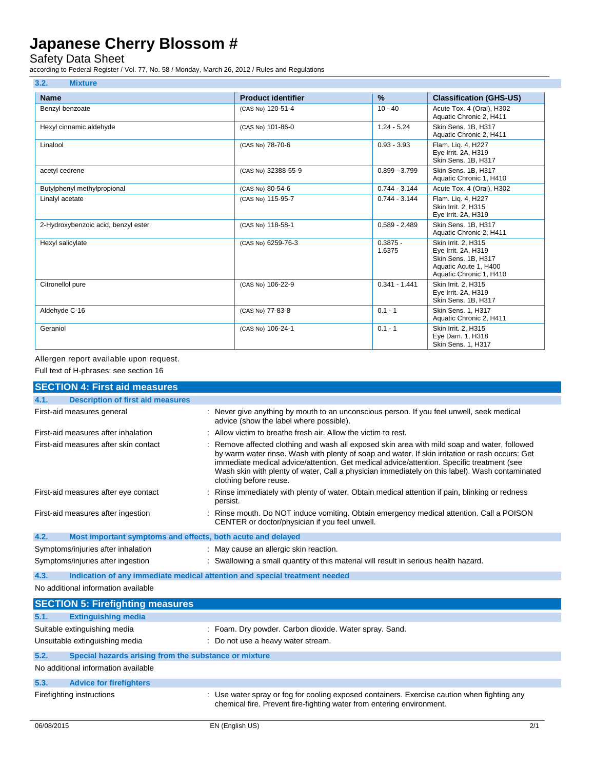### Safety Data Sheet

according to Federal Register / Vol. 77, No. 58 / Monday, March 26, 2012 / Rules and Regulations

| 3.2.<br><b>Mixture</b>              |                           |                      |                                                                                                                       |
|-------------------------------------|---------------------------|----------------------|-----------------------------------------------------------------------------------------------------------------------|
| <b>Name</b>                         | <b>Product identifier</b> | $\frac{9}{6}$        | <b>Classification (GHS-US)</b>                                                                                        |
| Benzyl benzoate                     | (CAS No) 120-51-4         | $10 - 40$            | Acute Tox. 4 (Oral), H302<br>Aquatic Chronic 2, H411                                                                  |
| Hexyl cinnamic aldehyde             | (CAS No) 101-86-0         | $1.24 - 5.24$        | Skin Sens. 1B. H317<br>Aquatic Chronic 2, H411                                                                        |
| Linalool                            | (CAS No) 78-70-6          | $0.93 - 3.93$        | Flam. Lig. 4, H227<br>Eye Irrit. 2A, H319<br>Skin Sens. 1B, H317                                                      |
| acetyl cedrene                      | (CAS No) 32388-55-9       | $0.899 - 3.799$      | Skin Sens. 1B. H317<br>Aquatic Chronic 1, H410                                                                        |
| Butylphenyl methylpropional         | (CAS No) 80-54-6          | $0.744 - 3.144$      | Acute Tox. 4 (Oral), H302                                                                                             |
| Linalyl acetate                     | (CAS No) 115-95-7         | $0.744 - 3.144$      | Flam. Lig. 4, H227<br>Skin Irrit. 2. H315<br>Eye Irrit. 2A, H319                                                      |
| 2-Hydroxybenzoic acid, benzyl ester | (CAS No) 118-58-1         | $0.589 - 2.489$      | Skin Sens. 1B. H317<br>Aquatic Chronic 2, H411                                                                        |
| Hexyl salicylate                    | (CAS No) 6259-76-3        | $0.3875 -$<br>1.6375 | Skin Irrit. 2. H315<br>Eye Irrit. 2A, H319<br>Skin Sens. 1B, H317<br>Aquatic Acute 1. H400<br>Aquatic Chronic 1, H410 |
| Citronellol pure                    | (CAS No) 106-22-9         | $0.341 - 1.441$      | Skin Irrit. 2, H315<br>Eye Irrit. 2A, H319<br>Skin Sens. 1B, H317                                                     |
| Aldehyde C-16                       | (CAS No) 77-83-8          | $0.1 - 1$            | <b>Skin Sens. 1. H317</b><br>Aquatic Chronic 2, H411                                                                  |
| Geraniol                            | (CAS No) 106-24-1         | $0.1 - 1$            | Skin Irrit. 2, H315<br>Eye Dam. 1, H318<br>Skin Sens. 1, H317                                                         |

Allergen report available upon request.

Full text of H-phrases: see section 16

|      | <b>SECTION 4: First aid measures</b>                                       |                                                                                                                                                                                                                                                                                                                                                                                                                        |
|------|----------------------------------------------------------------------------|------------------------------------------------------------------------------------------------------------------------------------------------------------------------------------------------------------------------------------------------------------------------------------------------------------------------------------------------------------------------------------------------------------------------|
| 4.1. | <b>Description of first aid measures</b>                                   |                                                                                                                                                                                                                                                                                                                                                                                                                        |
|      | First-aid measures general                                                 | : Never give anything by mouth to an unconscious person. If you feel unwell, seek medical<br>advice (show the label where possible).                                                                                                                                                                                                                                                                                   |
|      | First-aid measures after inhalation                                        | : Allow victim to breathe fresh air. Allow the victim to rest.                                                                                                                                                                                                                                                                                                                                                         |
|      | First-aid measures after skin contact                                      | Remove affected clothing and wash all exposed skin area with mild soap and water, followed<br>by warm water rinse. Wash with plenty of soap and water. If skin irritation or rash occurs: Get<br>immediate medical advice/attention. Get medical advice/attention. Specific treatment (see<br>Wash skin with plenty of water, Call a physician immediately on this label). Wash contaminated<br>clothing before reuse. |
|      | First-aid measures after eye contact                                       | Rinse immediately with plenty of water. Obtain medical attention if pain, blinking or redness<br>persist.                                                                                                                                                                                                                                                                                                              |
|      | First-aid measures after ingestion                                         | Rinse mouth. Do NOT induce vomiting. Obtain emergency medical attention. Call a POISON<br>CENTER or doctor/physician if you feel unwell.                                                                                                                                                                                                                                                                               |
| 4.2. | Most important symptoms and effects, both acute and delayed                |                                                                                                                                                                                                                                                                                                                                                                                                                        |
|      | Symptoms/injuries after inhalation                                         | : May cause an allergic skin reaction.                                                                                                                                                                                                                                                                                                                                                                                 |
|      | Symptoms/injuries after ingestion                                          | : Swallowing a small quantity of this material will result in serious health hazard.                                                                                                                                                                                                                                                                                                                                   |
| 4.3. | Indication of any immediate medical attention and special treatment needed |                                                                                                                                                                                                                                                                                                                                                                                                                        |
|      | No additional information available                                        |                                                                                                                                                                                                                                                                                                                                                                                                                        |
|      | <b>SECTION 5: Firefighting measures</b>                                    |                                                                                                                                                                                                                                                                                                                                                                                                                        |
| 5.1. | <b>Extinguishing media</b>                                                 |                                                                                                                                                                                                                                                                                                                                                                                                                        |
|      | Suitable extinguishing media                                               | : Foam. Dry powder. Carbon dioxide. Water spray. Sand.                                                                                                                                                                                                                                                                                                                                                                 |
|      | Unsuitable extinguishing media                                             | : Do not use a heavy water stream.                                                                                                                                                                                                                                                                                                                                                                                     |
| 5.2. | Special hazards arising from the substance or mixture                      |                                                                                                                                                                                                                                                                                                                                                                                                                        |
|      | No additional information available                                        |                                                                                                                                                                                                                                                                                                                                                                                                                        |
| 5.3. | <b>Advice for firefighters</b>                                             |                                                                                                                                                                                                                                                                                                                                                                                                                        |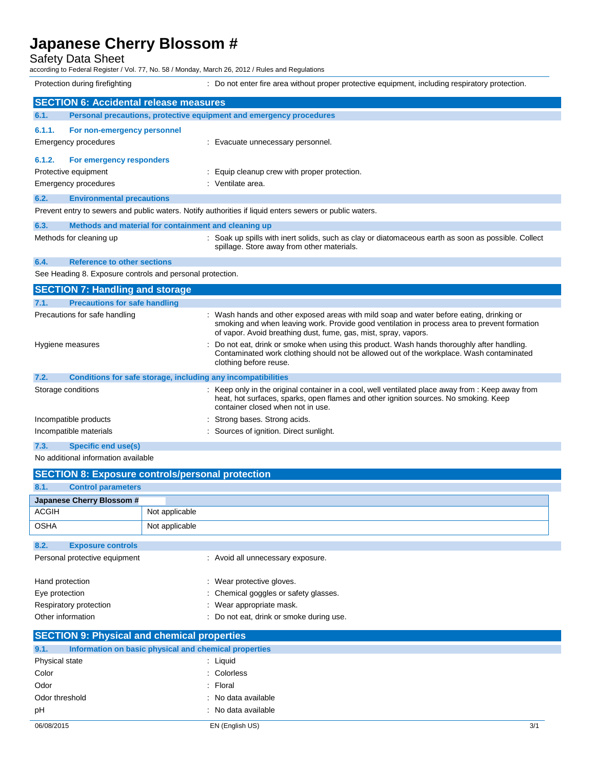Safety Data Sheet

according to Federal Register / Vol. 77, No. 58 / Monday, March 26, 2012 / Rules and Regulations

Protection during firefighting  $\blacksquare$ : Do not enter fire area without proper protective equipment, including respiratory protection. **SECTION 6: Accidental release measures 6.1. Personal precautions, protective equipment and emergency procedures 6.1.1. For non-emergency personnel** Emergency procedures **in the case of the Contract Execute** Evacuate unnecessary personnel. **6.1.2. For emergency responders** Protective equipment **interval and the Community** Equip cleanup crew with proper protection. Emergency procedures in the set of the set of the Senate area. **6.2. Environmental precautions** Prevent entry to sewers and public waters. Notify authorities if liquid enters sewers or public waters. **6.3. Methods and material for containment and cleaning up** Methods for cleaning up example of the solids with inert solids, such as clay or diatomaceous earth as soon as possible. Collect spillage. Store away from other materials. **6.4. Reference to other sections** See Heading 8. Exposure controls and personal protection. **SECTION 7: Handling and storage 7.1. Precautions for safe handling** Precautions for safe handling : Wash hands and other exposed areas with mild soap and water before eating, drinking or smoking and when leaving work. Provide good ventilation in process area to prevent formation of vapor. Avoid breathing dust, fume, gas, mist, spray, vapors. Hygiene measures **included in the state of the state of the state of the state of the state of the state of the state of the state of the state of the state of the state of the state of the state of the state of the state** Contaminated work clothing should not be allowed out of the workplace. Wash contaminated clothing before reuse. **7.2. Conditions for safe storage, including any incompatibilities** Storage conditions **interpret only in the original container in a cool, well ventilated place away from : Keep away from** heat, hot surfaces, sparks, open flames and other ignition sources. No smoking. Keep container closed when not in use. Incompatible products : Strong bases. Strong acids. Incompatible materials **incompatible materials** : Sources of ignition. Direct sunlight. **7.3. Specific end use(s)** No additional information available **SECTION 8: Exposure controls/personal protection**

|                                                    | باباد الخاطبات المتحافي الاختفاء المائد الخاطب المواقع الخيارات المتناق المتخاطبان واختصال بالمستنق المتحافظ والمتحا |                                                       |                                                                 |
|----------------------------------------------------|----------------------------------------------------------------------------------------------------------------------|-------------------------------------------------------|-----------------------------------------------------------------|
| 8.1.                                               | <b>Control parameters</b>                                                                                            |                                                       |                                                                 |
|                                                    | Japanese Cherry Blossom #                                                                                            |                                                       |                                                                 |
| <b>ACGIH</b>                                       |                                                                                                                      | Not applicable                                        |                                                                 |
| <b>OSHA</b>                                        |                                                                                                                      | Not applicable                                        |                                                                 |
| 8.2.                                               | <b>Exposure controls</b>                                                                                             |                                                       |                                                                 |
|                                                    | Personal protective equipment                                                                                        |                                                       | : Avoid all unnecessary exposure.                               |
|                                                    | Hand protection                                                                                                      |                                                       | : Wear protective gloves.                                       |
| Eye protection                                     |                                                                                                                      |                                                       | : Chemical goggles or safety glasses.                           |
|                                                    | Respiratory protection                                                                                               |                                                       | : Wear appropriate mask.                                        |
|                                                    | Other information                                                                                                    |                                                       | : Do not eat, drink or smoke during use.                        |
| <b>SECTION 9: Physical and chemical properties</b> |                                                                                                                      |                                                       |                                                                 |
| 9.1.                                               |                                                                                                                      | Information on basic physical and chemical properties |                                                                 |
| Dhugical state                                     |                                                                                                                      |                                                       | $\cdot$ $\cdot$ $\cdot$ $\cdot$ $\cdot$ $\cdot$ $\cdot$ $\cdot$ |

| Physical state | : Liquid            |
|----------------|---------------------|
| Color          | : Colorless         |
| Odor           | $:$ Floral          |
| Odor threshold | : No data available |
| рH             | : No data available |
|                |                     |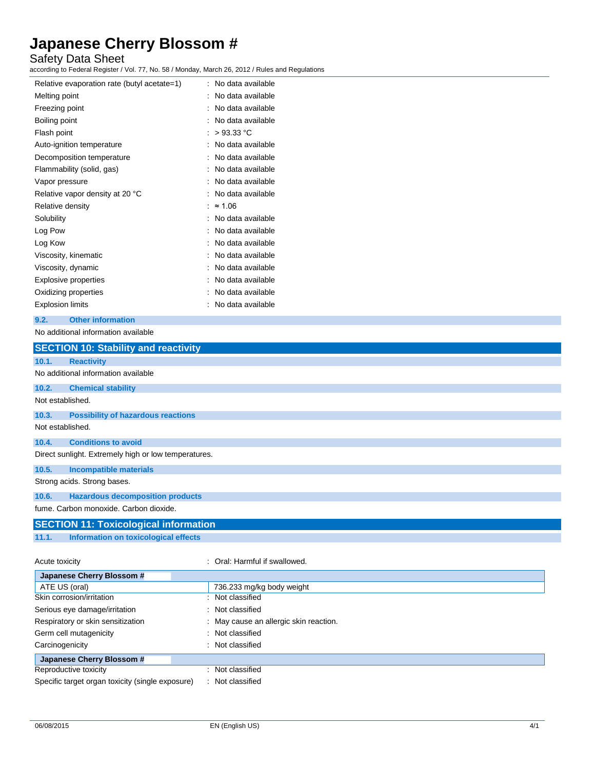## Safety Data Sheet

according to Federal Register / Vol. 77, No. 58 / Monday, March 26, 2012 / Rules and Regulations

| Relative evaporation rate (butyl acetate=1) | : No data available |
|---------------------------------------------|---------------------|
| Melting point                               | No data available   |
| Freezing point                              | No data available   |
| Boiling point                               | No data available   |
| Flash point                                 | $>93.33$ °C         |
| Auto-ignition temperature                   | No data available   |
| Decomposition temperature                   | No data available   |
| Flammability (solid, gas)                   | No data available   |
| Vapor pressure                              | No data available   |
| Relative vapor density at 20 °C             | No data available   |
| Relative density                            | $\approx$ 1.06      |
| Solubility                                  | No data available   |
| Log Pow                                     | No data available   |
| Log Kow                                     | No data available   |
| Viscosity, kinematic                        | No data available   |
| Viscosity, dynamic                          | No data available   |
| <b>Explosive properties</b>                 | No data available   |
| Oxidizing properties                        | No data available   |
| <b>Explosion limits</b>                     | No data available   |

#### **9.2. Other information**

### No additional information available

|                  | <b>SECTION 10: Stability and reactivity</b>          |                               |
|------------------|------------------------------------------------------|-------------------------------|
| 10.1.            | <b>Reactivity</b>                                    |                               |
|                  | No additional information available                  |                               |
| 10.2.            | <b>Chemical stability</b>                            |                               |
| Not established. |                                                      |                               |
| 10.3.            | <b>Possibility of hazardous reactions</b>            |                               |
| Not established. |                                                      |                               |
| 10.4.            | <b>Conditions to avoid</b>                           |                               |
|                  | Direct sunlight. Extremely high or low temperatures. |                               |
| 10.5.            | <b>Incompatible materials</b>                        |                               |
|                  | Strong acids. Strong bases.                          |                               |
| 10.6.            | <b>Hazardous decomposition products</b>              |                               |
|                  | fume. Carbon monoxide. Carbon dioxide.               |                               |
|                  | <b>SECTION 11: Toxicological information</b>         |                               |
| 11.1.            | Information on toxicological effects                 |                               |
| Acute toxicity   |                                                      | : Oral: Harmful if swallowed. |

| Japanese Cherry Blossom #                        |                                        |
|--------------------------------------------------|----------------------------------------|
| ATE US (oral)                                    | 736.233 mg/kg body weight              |
| Skin corrosion/irritation                        | : Not classified                       |
| Serious eye damage/irritation                    | : Not classified                       |
| Respiratory or skin sensitization                | : May cause an allergic skin reaction. |
| Germ cell mutagenicity                           | : Not classified                       |
| Carcinogenicity                                  | : Not classified                       |
| Japanese Cherry Blossom #                        |                                        |
| Reproductive toxicity                            | Not classified                         |
| Specific target organ toxicity (single exposure) | Not classified                         |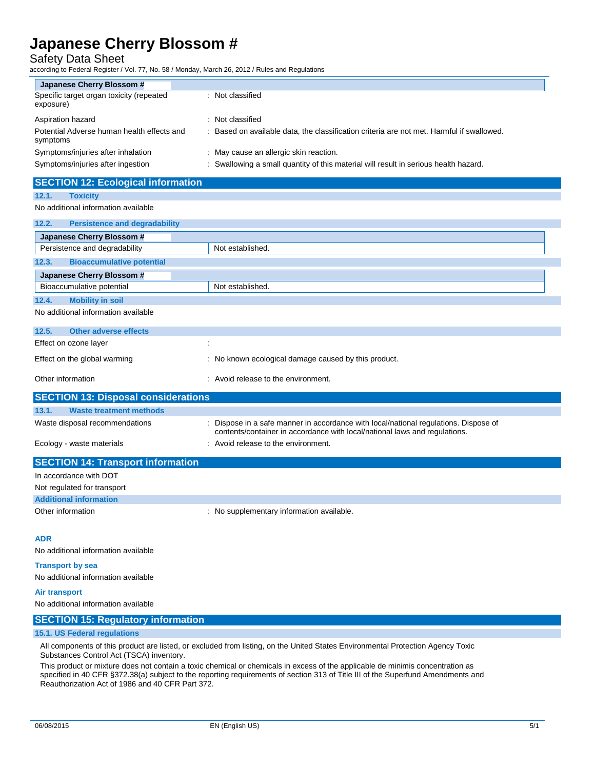Safety Data Sheet

according to Federal Register / Vol. 77, No. 58 / Monday, March 26, 2012 / Rules and Regulations

| Japanese Cherry Blossom #                              |                                                                                           |
|--------------------------------------------------------|-------------------------------------------------------------------------------------------|
| Specific target organ toxicity (repeated<br>exposure)  | : Not classified                                                                          |
| Aspiration hazard                                      | : Not classified                                                                          |
| Potential Adverse human health effects and<br>symptoms | : Based on available data, the classification criteria are not met. Harmful if swallowed. |
| Symptoms/injuries after inhalation                     | : May cause an allergic skin reaction.                                                    |
| Symptoms/injuries after ingestion                      | : Swallowing a small quantity of this material will result in serious health hazard.      |

# **SECTION 12: Ecological information**

**12.1. Toxicity** No additional information available

| 12.2.                                 | <b>Persistence and degradability</b> |                                                      |
|---------------------------------------|--------------------------------------|------------------------------------------------------|
| Japanese Cherry Blossom #             |                                      |                                                      |
| Persistence and degradability         |                                      | Not established.                                     |
| 12.3.                                 | <b>Bioaccumulative potential</b>     |                                                      |
| Japanese Cherry Blossom #             |                                      |                                                      |
| Bioaccumulative potential             |                                      | Not established.                                     |
| 12.4.<br><b>Mobility in soil</b>      |                                      |                                                      |
| No additional information available   |                                      |                                                      |
| 12.5.<br><b>Other adverse effects</b> |                                      |                                                      |
| Effect on ozone layer                 |                                      | $\cdot$                                              |
| Effect on the global warming          |                                      | : No known ecological damage caused by this product. |

| Other information                   | : Avoid release to the environment. |  |
|-------------------------------------|-------------------------------------|--|
|                                     |                                     |  |
| SECTION 13: Dienosal considerations |                                     |  |

|       | <u>ULUTTUR TU. DISPOSAI CONSIGNIQUIS I</u> |                                                                                                                                                                    |  |
|-------|--------------------------------------------|--------------------------------------------------------------------------------------------------------------------------------------------------------------------|--|
| 13.1. | Waste treatment methods                    |                                                                                                                                                                    |  |
|       | Waste disposal recommendations             | : Dispose in a safe manner in accordance with local/national regulations. Dispose of<br>contents/container in accordance with local/national laws and regulations. |  |
|       | Ecology - waste materials                  | : Avoid release to the environment.                                                                                                                                |  |

| <b>SECTION 14: Transport information</b> |                                           |
|------------------------------------------|-------------------------------------------|
| In accordance with DOT                   |                                           |
| Not regulated for transport              |                                           |
| <b>Additional information</b>            |                                           |
| Other information                        | : No supplementary information available. |

#### **ADR**

No additional information available

#### **Transport by sea**

No additional information available

#### **Air transport**

No additional information available

### **SECTION 15: Regulatory information**

### **15.1. US Federal regulations**

All components of this product are listed, or excluded from listing, on the United States Environmental Protection Agency Toxic Substances Control Act (TSCA) inventory.

This product or mixture does not contain a toxic chemical or chemicals in excess of the applicable de minimis concentration as specified in 40 CFR §372.38(a) subject to the reporting requirements of section 313 of Title III of the Superfund Amendments and Reauthorization Act of 1986 and 40 CFR Part 372.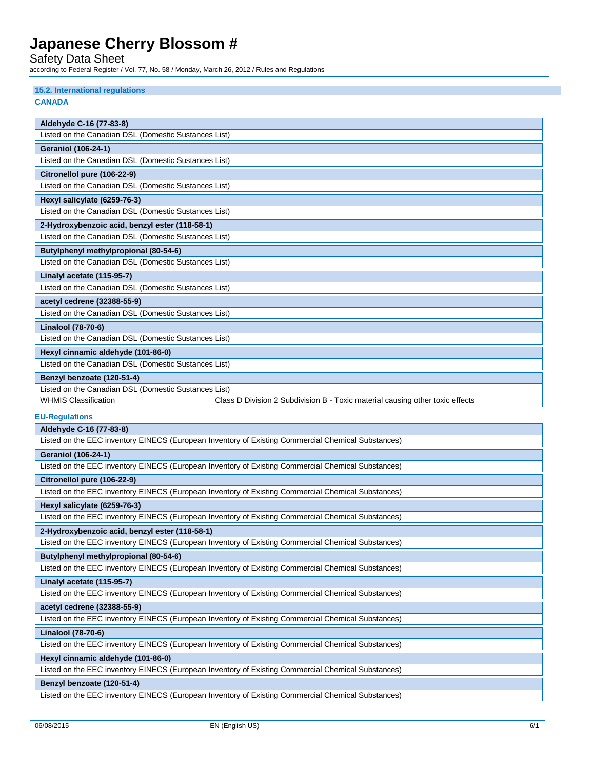Safety Data Sheet

according to Federal Register / Vol. 77, No. 58 / Monday, March 26, 2012 / Rules and Regulations

| 15.2. International regulations                                                                    |                                                                                                    |  |  |  |
|----------------------------------------------------------------------------------------------------|----------------------------------------------------------------------------------------------------|--|--|--|
| <b>CANADA</b>                                                                                      |                                                                                                    |  |  |  |
|                                                                                                    |                                                                                                    |  |  |  |
| Aldehyde C-16 (77-83-8)                                                                            |                                                                                                    |  |  |  |
| Listed on the Canadian DSL (Domestic Sustances List)                                               |                                                                                                    |  |  |  |
| <b>Geraniol (106-24-1)</b>                                                                         |                                                                                                    |  |  |  |
| Listed on the Canadian DSL (Domestic Sustances List)                                               |                                                                                                    |  |  |  |
| Citronellol pure (106-22-9)                                                                        |                                                                                                    |  |  |  |
| Listed on the Canadian DSL (Domestic Sustances List)                                               |                                                                                                    |  |  |  |
| Hexyl salicylate (6259-76-3)                                                                       |                                                                                                    |  |  |  |
| Listed on the Canadian DSL (Domestic Sustances List)                                               |                                                                                                    |  |  |  |
| 2-Hydroxybenzoic acid, benzyl ester (118-58-1)                                                     |                                                                                                    |  |  |  |
| Listed on the Canadian DSL (Domestic Sustances List)                                               |                                                                                                    |  |  |  |
| Butylphenyl methylpropional (80-54-6)                                                              |                                                                                                    |  |  |  |
| Listed on the Canadian DSL (Domestic Sustances List)                                               |                                                                                                    |  |  |  |
| Linalyl acetate (115-95-7)                                                                         |                                                                                                    |  |  |  |
| Listed on the Canadian DSL (Domestic Sustances List)                                               |                                                                                                    |  |  |  |
| acetyl cedrene (32388-55-9)                                                                        |                                                                                                    |  |  |  |
| Listed on the Canadian DSL (Domestic Sustances List)                                               |                                                                                                    |  |  |  |
| Linalool (78-70-6)                                                                                 |                                                                                                    |  |  |  |
| Listed on the Canadian DSL (Domestic Sustances List)                                               |                                                                                                    |  |  |  |
| Hexyl cinnamic aldehyde (101-86-0)                                                                 |                                                                                                    |  |  |  |
| Listed on the Canadian DSL (Domestic Sustances List)                                               |                                                                                                    |  |  |  |
| Benzyl benzoate (120-51-4)                                                                         |                                                                                                    |  |  |  |
| Listed on the Canadian DSL (Domestic Sustances List)                                               |                                                                                                    |  |  |  |
| <b>WHMIS Classification</b>                                                                        | Class D Division 2 Subdivision B - Toxic material causing other toxic effects                      |  |  |  |
|                                                                                                    |                                                                                                    |  |  |  |
| <b>EU-Regulations</b>                                                                              |                                                                                                    |  |  |  |
| Aldehyde C-16 (77-83-8)                                                                            | Listed on the EEC inventory EINECS (European Inventory of Existing Commercial Chemical Substances) |  |  |  |
|                                                                                                    |                                                                                                    |  |  |  |
| <b>Geraniol (106-24-1)</b>                                                                         | Listed on the EEC inventory EINECS (European Inventory of Existing Commercial Chemical Substances) |  |  |  |
|                                                                                                    |                                                                                                    |  |  |  |
| Citronellol pure (106-22-9)                                                                        | Listed on the EEC inventory EINECS (European Inventory of Existing Commercial Chemical Substances) |  |  |  |
|                                                                                                    |                                                                                                    |  |  |  |
| Hexyl salicylate (6259-76-3)                                                                       |                                                                                                    |  |  |  |
|                                                                                                    | Listed on the EEC inventory EINECS (European Inventory of Existing Commercial Chemical Substances) |  |  |  |
| 2-Hydroxybenzoic acid, benzyl ester (118-58-1)                                                     |                                                                                                    |  |  |  |
|                                                                                                    | Listed on the EEC inventory EINECS (European Inventory of Existing Commercial Chemical Substances) |  |  |  |
| Butylphenyl methylpropional (80-54-6)                                                              |                                                                                                    |  |  |  |
| Listed on the EEC inventory EINECS (European Inventory of Existing Commercial Chemical Substances) |                                                                                                    |  |  |  |
| Linalyl acetate (115-95-7)                                                                         |                                                                                                    |  |  |  |
|                                                                                                    | Listed on the EEC inventory EINECS (European Inventory of Existing Commercial Chemical Substances) |  |  |  |
| acetyl cedrene (32388-55-9)                                                                        |                                                                                                    |  |  |  |
| Listed on the EEC inventory EINECS (European Inventory of Existing Commercial Chemical Substances) |                                                                                                    |  |  |  |
| Linalool (78-70-6)                                                                                 |                                                                                                    |  |  |  |
| Listed on the EEC inventory EINECS (European Inventory of Existing Commercial Chemical Substances) |                                                                                                    |  |  |  |
| Hexyl cinnamic aldehyde (101-86-0)                                                                 |                                                                                                    |  |  |  |
|                                                                                                    | Listed on the EEC inventory EINECS (European Inventory of Existing Commercial Chemical Substances) |  |  |  |
| Benzyl benzoate (120-51-4)                                                                         |                                                                                                    |  |  |  |
|                                                                                                    | Listed on the EEC inventory EINECS (European Inventory of Existing Commercial Chemical Substances) |  |  |  |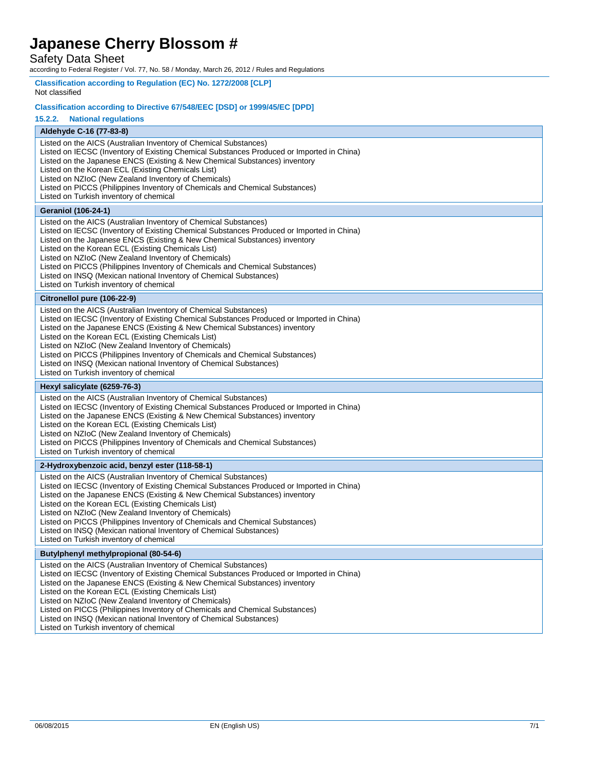Safety Data Sheet

according to Federal Register / Vol. 77, No. 58 / Monday, March 26, 2012 / Rules and Regulations

| Not classified                                                                                                                                                                                                                                                                                                                                                                                                                                                                                                                                             |  |  |  |  |
|------------------------------------------------------------------------------------------------------------------------------------------------------------------------------------------------------------------------------------------------------------------------------------------------------------------------------------------------------------------------------------------------------------------------------------------------------------------------------------------------------------------------------------------------------------|--|--|--|--|
| Classification according to Directive 67/548/EEC [DSD] or 1999/45/EC [DPD]                                                                                                                                                                                                                                                                                                                                                                                                                                                                                 |  |  |  |  |
| 15.2.2.<br><b>National regulations</b>                                                                                                                                                                                                                                                                                                                                                                                                                                                                                                                     |  |  |  |  |
| Aldehyde C-16 (77-83-8)                                                                                                                                                                                                                                                                                                                                                                                                                                                                                                                                    |  |  |  |  |
| Listed on the AICS (Australian Inventory of Chemical Substances)<br>Listed on IECSC (Inventory of Existing Chemical Substances Produced or Imported in China)<br>Listed on the Japanese ENCS (Existing & New Chemical Substances) inventory<br>Listed on the Korean ECL (Existing Chemicals List)<br>Listed on NZIoC (New Zealand Inventory of Chemicals)<br>Listed on PICCS (Philippines Inventory of Chemicals and Chemical Substances)<br>Listed on Turkish inventory of chemical                                                                       |  |  |  |  |
| <b>Geraniol (106-24-1)</b>                                                                                                                                                                                                                                                                                                                                                                                                                                                                                                                                 |  |  |  |  |
| Listed on the AICS (Australian Inventory of Chemical Substances)<br>Listed on IECSC (Inventory of Existing Chemical Substances Produced or Imported in China)<br>Listed on the Japanese ENCS (Existing & New Chemical Substances) inventory<br>Listed on the Korean ECL (Existing Chemicals List)<br>Listed on NZIoC (New Zealand Inventory of Chemicals)<br>Listed on PICCS (Philippines Inventory of Chemicals and Chemical Substances)<br>Listed on INSQ (Mexican national Inventory of Chemical Substances)<br>Listed on Turkish inventory of chemical |  |  |  |  |
| Citronellol pure (106-22-9)                                                                                                                                                                                                                                                                                                                                                                                                                                                                                                                                |  |  |  |  |
| Listed on the AICS (Australian Inventory of Chemical Substances)<br>Listed on IECSC (Inventory of Existing Chemical Substances Produced or Imported in China)<br>Listed on the Japanese ENCS (Existing & New Chemical Substances) inventory<br>Listed on the Korean ECL (Existing Chemicals List)<br>Listed on NZIoC (New Zealand Inventory of Chemicals)<br>Listed on PICCS (Philippines Inventory of Chemicals and Chemical Substances)<br>Listed on INSQ (Mexican national Inventory of Chemical Substances)<br>Listed on Turkish inventory of chemical |  |  |  |  |
| Hexyl salicylate (6259-76-3)                                                                                                                                                                                                                                                                                                                                                                                                                                                                                                                               |  |  |  |  |
| Listed on the AICS (Australian Inventory of Chemical Substances)<br>Listed on IECSC (Inventory of Existing Chemical Substances Produced or Imported in China)                                                                                                                                                                                                                                                                                                                                                                                              |  |  |  |  |
| Listed on the Japanese ENCS (Existing & New Chemical Substances) inventory<br>Listed on the Korean ECL (Existing Chemicals List)<br>Listed on NZIoC (New Zealand Inventory of Chemicals)<br>Listed on PICCS (Philippines Inventory of Chemicals and Chemical Substances)<br>Listed on Turkish inventory of chemical                                                                                                                                                                                                                                        |  |  |  |  |
| 2-Hydroxybenzoic acid, benzyl ester (118-58-1)                                                                                                                                                                                                                                                                                                                                                                                                                                                                                                             |  |  |  |  |
| Listed on the AICS (Australian Inventory of Chemical Substances)<br>Listed on IECSC (Inventory of Existing Chemical Substances Produced or Imported in China)<br>Listed on the Japanese ENCS (Existing & New Chemical Substances) inventory<br>Listed on the Korean ECL (Existing Chemicals List)<br>Listed on NZIoC (New Zealand Inventory of Chemicals)<br>Listed on PICCS (Philippines Inventory of Chemicals and Chemical Substances)<br>Listed on INSQ (Mexican national Inventory of Chemical Substances)<br>Listed on Turkish inventory of chemical |  |  |  |  |
| Butylphenyl methylpropional (80-54-6)                                                                                                                                                                                                                                                                                                                                                                                                                                                                                                                      |  |  |  |  |
| Listed on the AICS (Australian Inventory of Chemical Substances)<br>Listed on IECSC (Inventory of Existing Chemical Substances Produced or Imported in China)<br>Listed on the Japanese ENCS (Existing & New Chemical Substances) inventory<br>Listed on the Korean ECL (Existing Chemicals List)<br>Listed on NZIoC (New Zealand Inventory of Chemicals)<br>Listed on PICCS (Philippines Inventory of Chemicals and Chemical Substances)<br>Listed on INSQ (Mexican national Inventory of Chemical Substances)<br>Listed on Turkish inventory of chemical |  |  |  |  |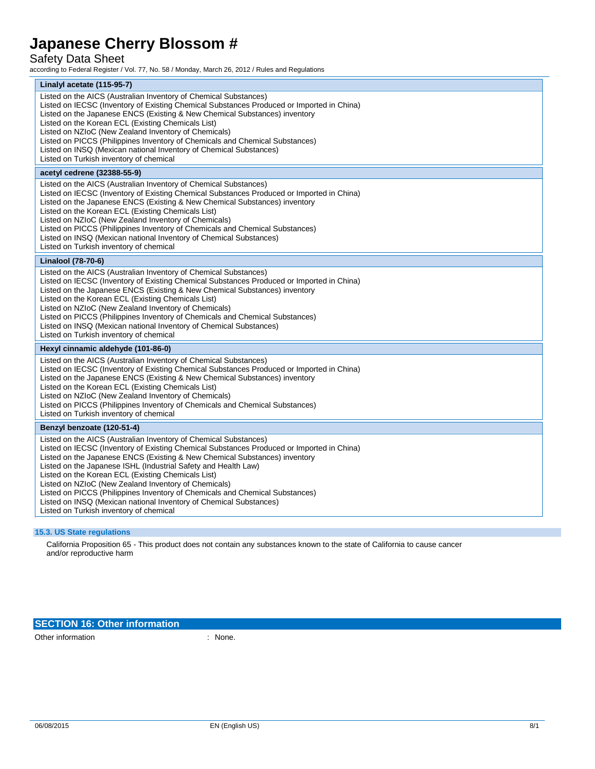# Safety Data Sheet

according to Federal Register / Vol. 77, No. 58 / Monday, March 26, 2012 / Rules and Regulations

| Linalyl acetate (115-95-7)                                                                                                                                                                                                                                                                                                                                                                                                                                                                                                                                                                                                   |
|------------------------------------------------------------------------------------------------------------------------------------------------------------------------------------------------------------------------------------------------------------------------------------------------------------------------------------------------------------------------------------------------------------------------------------------------------------------------------------------------------------------------------------------------------------------------------------------------------------------------------|
| Listed on the AICS (Australian Inventory of Chemical Substances)<br>Listed on IECSC (Inventory of Existing Chemical Substances Produced or Imported in China)<br>Listed on the Japanese ENCS (Existing & New Chemical Substances) inventory<br>Listed on the Korean ECL (Existing Chemicals List)<br>Listed on NZIoC (New Zealand Inventory of Chemicals)<br>Listed on PICCS (Philippines Inventory of Chemicals and Chemical Substances)<br>Listed on INSQ (Mexican national Inventory of Chemical Substances)<br>Listed on Turkish inventory of chemical                                                                   |
| acetyl cedrene (32388-55-9)                                                                                                                                                                                                                                                                                                                                                                                                                                                                                                                                                                                                  |
| Listed on the AICS (Australian Inventory of Chemical Substances)<br>Listed on IECSC (Inventory of Existing Chemical Substances Produced or Imported in China)<br>Listed on the Japanese ENCS (Existing & New Chemical Substances) inventory<br>Listed on the Korean ECL (Existing Chemicals List)<br>Listed on NZIoC (New Zealand Inventory of Chemicals)<br>Listed on PICCS (Philippines Inventory of Chemicals and Chemical Substances)<br>Listed on INSQ (Mexican national Inventory of Chemical Substances)<br>Listed on Turkish inventory of chemical                                                                   |
| Linalool (78-70-6)                                                                                                                                                                                                                                                                                                                                                                                                                                                                                                                                                                                                           |
| Listed on the AICS (Australian Inventory of Chemical Substances)<br>Listed on IECSC (Inventory of Existing Chemical Substances Produced or Imported in China)<br>Listed on the Japanese ENCS (Existing & New Chemical Substances) inventory<br>Listed on the Korean ECL (Existing Chemicals List)<br>Listed on NZIoC (New Zealand Inventory of Chemicals)<br>Listed on PICCS (Philippines Inventory of Chemicals and Chemical Substances)<br>Listed on INSQ (Mexican national Inventory of Chemical Substances)<br>Listed on Turkish inventory of chemical                                                                   |
| Hexyl cinnamic aldehyde (101-86-0)                                                                                                                                                                                                                                                                                                                                                                                                                                                                                                                                                                                           |
| Listed on the AICS (Australian Inventory of Chemical Substances)<br>Listed on IECSC (Inventory of Existing Chemical Substances Produced or Imported in China)<br>Listed on the Japanese ENCS (Existing & New Chemical Substances) inventory<br>Listed on the Korean ECL (Existing Chemicals List)<br>Listed on NZIoC (New Zealand Inventory of Chemicals)<br>Listed on PICCS (Philippines Inventory of Chemicals and Chemical Substances)<br>Listed on Turkish inventory of chemical                                                                                                                                         |
| Benzyl benzoate (120-51-4)                                                                                                                                                                                                                                                                                                                                                                                                                                                                                                                                                                                                   |
| Listed on the AICS (Australian Inventory of Chemical Substances)<br>Listed on IECSC (Inventory of Existing Chemical Substances Produced or Imported in China)<br>Listed on the Japanese ENCS (Existing & New Chemical Substances) inventory<br>Listed on the Japanese ISHL (Industrial Safety and Health Law)<br>Listed on the Korean ECL (Existing Chemicals List)<br>Listed on NZIoC (New Zealand Inventory of Chemicals)<br>Listed on PICCS (Philippines Inventory of Chemicals and Chemical Substances)<br>Listed on INSQ (Mexican national Inventory of Chemical Substances)<br>Listed on Turkish inventory of chemical |

### **15.3. US State regulations**

California Proposition 65 - This product does not contain any substances known to the state of California to cause cancer and/or reproductive harm

### **SECTION 16: Other information**

Other information in the contract of the contract of the contract of the contract of the contract of the contract of the contract of the contract of the contract of the contract of the contract of the contract of the contr